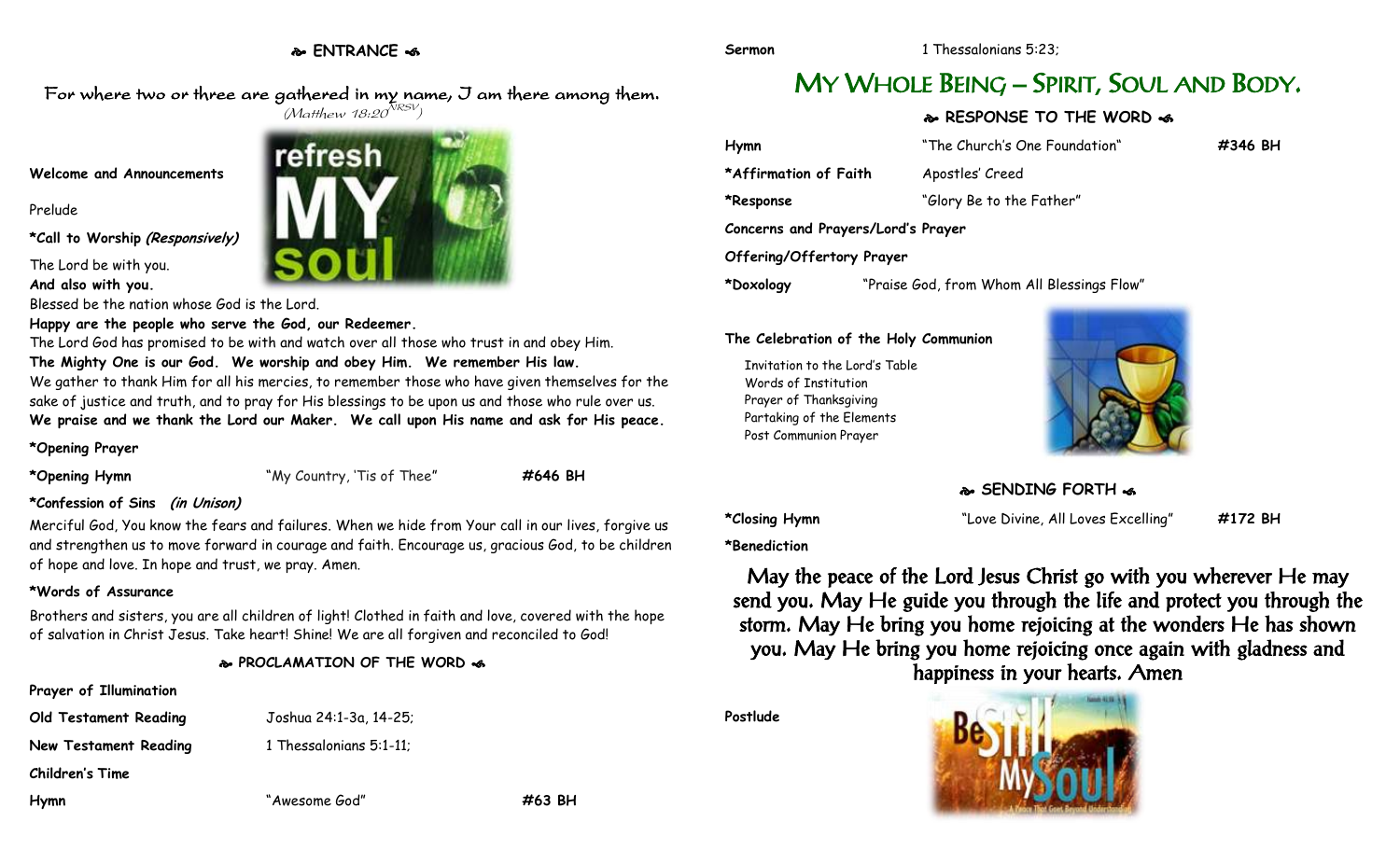# **ENTRANCE**

**Sermon** 1 Thessalonians 5:23;

For where two or three are gathered in my name, I am there among them.  $(M$ atthew 18:20 $^{NRSV})$ 

refresh

### **Welcome and Announcements**

Prelude

**\*Call to Worship (Responsively)**

The Lord be with you. **And also with you.**

Blessed be the nation whose God is the Lord.

### **Happy are the people who serve the God, our Redeemer.**

The Lord God has promised to be with and watch over all those who trust in and obey Him. **The Mighty One is our God. We worship and obey Him. We remember His law.**  We gather to thank Him for all his mercies, to remember those who have given themselves for the sake of justice and truth, and to pray for His blessings to be upon us and those who rule over us. **We praise and we thank the Lord our Maker. We call upon His name and ask for His peace.**

**\*Opening Prayer**

**\*Opening Hymn** "My Country, 'Tis of Thee" **#646 BH**

# **\*Confession of Sins (in Unison)**

Merciful God, You know the fears and failures. When we hide from Your call in our lives, forgive us and strengthen us to move forward in courage and faith. Encourage us, gracious God, to be children of hope and love. In hope and trust, we pray. Amen.

## **\*Words of Assurance**

Brothers and sisters, you are all children of light! Clothed in faith and love, covered with the hope of salvation in Christ Jesus. Take heart! Shine! We are all forgiven and reconciled to God!

**PROCLAMATION OF THE WORD** 

## **Prayer of Illumination**

**Old Testament Reading** Joshua 24:1-3a, 14-25;

**New Testament Reading 1 Thessalonians 5:1-11;** 

**Children's Time**

**Hymn** "Awesome God" **#63 BH**

# MY WHOLE BEING – SPIRIT, SOUL AND BODY.

# **RESPONSE TO THE WORD**

| Hymn                               | "The Church's One Foundation"              | #346 BH |
|------------------------------------|--------------------------------------------|---------|
| *Affirmation of Faith              | Apostles' Creed                            |         |
| *Response                          | "Glory Be to the Father"                   |         |
| Concerns and Prayers/Lord's Prayer |                                            |         |
| Offering/Offertory Prayer          |                                            |         |
| *Doxology                          | "Praise God, from Whom All Blessings Flow" |         |

## **The Celebration of the Holy Communion**

Invitation to the Lord's Table Words of Institution Prayer of Thanksgiving Partaking of the Elements Post Communion Prayer



# **SENDING FORTH**  $\cdot$ **6**

**\*Closing Hymn** "Love Divine, All Loves Excelling" **#172 BH**

**\*Benediction**

May the peace of the Lord Jesus Christ go with you wherever He may send you. May He guide you through the life and protect you through the storm. May He bring you home rejoicing at the wonders He has shown you. May He bring you home rejoicing once again with gladness and happiness in your hearts. Amen

**Postlude**